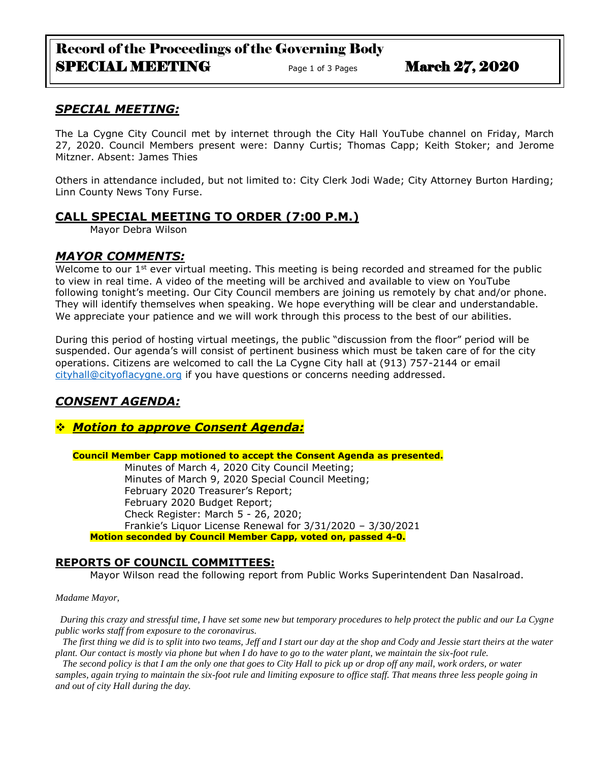# Record of the Proceedings of the Governing Body SPECIAL MEETING Page 1 of 3 Pages March 27, 2020

## *SPECIAL MEETING:*

The La Cygne City Council met by internet through the City Hall YouTube channel on Friday, March 27, 2020. Council Members present were: Danny Curtis; Thomas Capp; Keith Stoker; and Jerome Mitzner. Absent: James Thies

Others in attendance included, but not limited to: City Clerk Jodi Wade; City Attorney Burton Harding; Linn County News Tony Furse.

## **CALL SPECIAL MEETING TO ORDER (7:00 P.M.)**

Mayor Debra Wilson

## *MAYOR COMMENTS:*

Welcome to our 1<sup>st</sup> ever virtual meeting. This meeting is being recorded and streamed for the public to view in real time. A video of the meeting will be archived and available to view on YouTube following tonight's meeting. Our City Council members are joining us remotely by chat and/or phone. They will identify themselves when speaking. We hope everything will be clear and understandable. We appreciate your patience and we will work through this process to the best of our abilities.

During this period of hosting virtual meetings, the public "discussion from the floor" period will be suspended. Our agenda's will consist of pertinent business which must be taken care of for the city operations. Citizens are welcomed to call the La Cygne City hall at (913) 757-2144 or email [cityhall@cityoflacygne.org](mailto:cityhall@cityoflacygne.org) if you have questions or concerns needing addressed.

## *CONSENT AGENDA:*

## *Motion to approve Consent Agenda:*

**Council Member Capp motioned to accept the Consent Agenda as presented.**

Minutes of March 4, 2020 City Council Meeting; Minutes of March 9, 2020 Special Council Meeting; February 2020 Treasurer's Report; February 2020 Budget Report; Check Register: March 5 - 26, 2020; Frankie's Liquor License Renewal for 3/31/2020 – 3/30/2021 **Motion seconded by Council Member Capp, voted on, passed 4-0.** 

### **REPORTS OF COUNCIL COMMITTEES:**

Mayor Wilson read the following report from Public Works Superintendent Dan Nasalroad.

*Madame Mayor,*

 *During this crazy and stressful time, I have set some new but temporary procedures to help protect the public and our La Cygne public works staff from exposure to the coronavirus.* 

 *The first thing we did is to split into two teams, Jeff and I start our day at the shop and Cody and Jessie start theirs at the water plant. Our contact is mostly via phone but when I do have to go to the water plant, we maintain the six-foot rule.*

 *The second policy is that I am the only one that goes to City Hall to pick up or drop off any mail, work orders, or water samples, again trying to maintain the six-foot rule and limiting exposure to office staff. That means three less people going in and out of city Hall during the day.*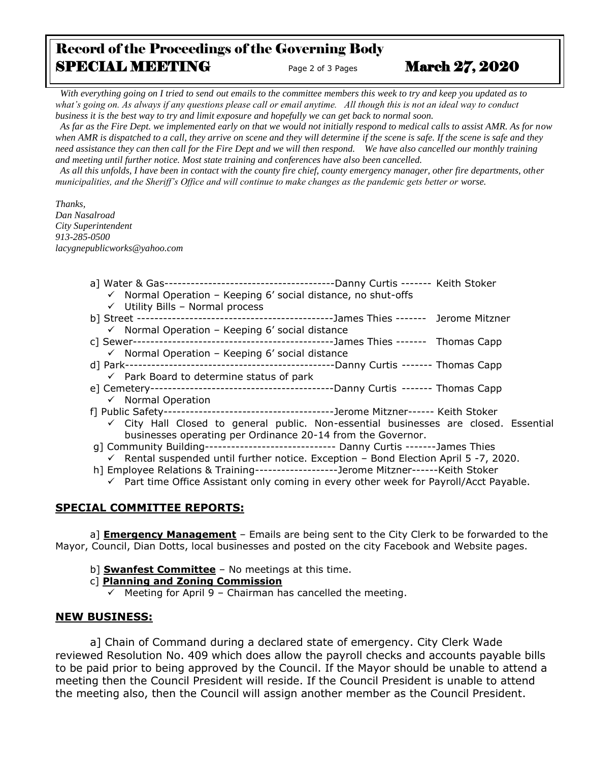## Record of the Proceedings of the Governing Body SPECIAL MEETING Page 2 of 3 Pages March 27, 2020

 *With everything going on I tried to send out emails to the committee members this week to try and keep you updated as to what's going on. As always if any questions please call or email anytime. All though this is not an ideal way to conduct business it is the best way to try and limit exposure and hopefully we can get back to normal soon.*

 *As far as the Fire Dept. we implemented early on that we would not initially respond to medical calls to assist AMR. As for now*  when AMR is dispatched to a call, they arrive on scene and they will determine if the scene is safe. If the scene is safe and they *need assistance they can then call for the Fire Dept and we will then respond. We have also cancelled our monthly training and meeting until further notice. Most state training and conferences have also been cancelled.* 

 *As all this unfolds, I have been in contact with the county fire chief, county emergency manager, other fire departments, other municipalities, and the Sheriff's Office and will continue to make changes as the pandemic gets better or worse.*

*Thanks, Dan Nasalroad City Superintendent 913-285-0500 lacygnepublicworks@yahoo.com*

- a] Water & Gas---------------------------------------Danny Curtis ------- Keith Stoker  $\checkmark$  Normal Operation – Keeping 6' social distance, no shut-offs
	- $\checkmark$  Utility Bills Normal process
- b] Street ---------------------------------------------James Thies ------- Jerome Mitzner
	- $\checkmark$  Normal Operation Keeping 6' social distance
- c] Sewer----------------------------------------------James Thies ------- Thomas Capp
	- $\checkmark$  Normal Operation Keeping 6' social distance
- d] Park------------------------------------------------Danny Curtis ------- Thomas Capp  $\checkmark$  Park Board to determine status of park
- e] Cemetery------------------------------------------Danny Curtis ------- Thomas Capp  $\checkmark$  Normal Operation
- f] Public Safety---------------------------------------Jerome Mitzner------ Keith Stoker
	- $\checkmark$  City Hall Closed to general public. Non-essential businesses are closed. Essential businesses operating per Ordinance 20-14 from the Governor.
- g] Community Building------------------------------ Danny Curtis -------James Thies
- $\checkmark$  Rental suspended until further notice. Exception Bond Election April 5 -7, 2020.
- h] Employee Relations & Training-------------------Jerome Mitzner------Keith Stoker
	- $\checkmark$  Part time Office Assistant only coming in every other week for Payroll/Acct Payable.

### **SPECIAL COMMITTEE REPORTS:**

a] **Emergency Management** – Emails are being sent to the City Clerk to be forwarded to the Mayor, Council, Dian Dotts, local businesses and posted on the city Facebook and Website pages.

- b] **Swanfest Committee** No meetings at this time.
- c] **Planning and Zoning Commission**
	- $\checkmark$  Meeting for April 9 Chairman has cancelled the meeting.

### **NEW BUSINESS:**

a] Chain of Command during a declared state of emergency. City Clerk Wade reviewed Resolution No. 409 which does allow the payroll checks and accounts payable bills to be paid prior to being approved by the Council. If the Mayor should be unable to attend a meeting then the Council President will reside. If the Council President is unable to attend the meeting also, then the Council will assign another member as the Council President.